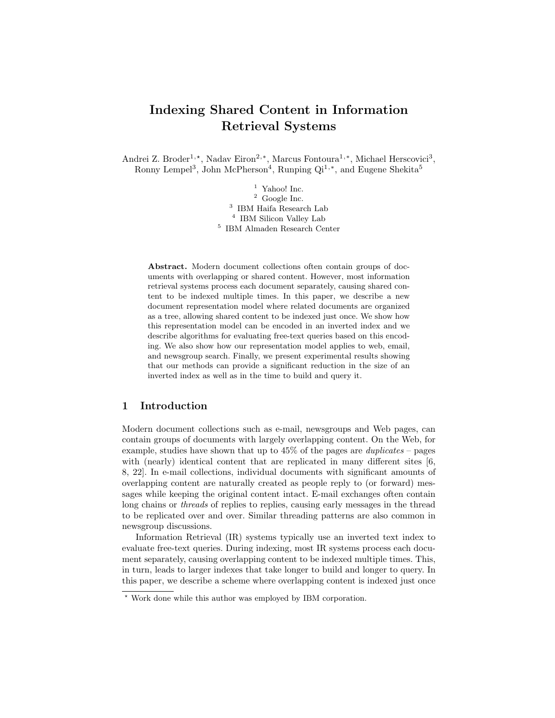# Indexing Shared Content in Information Retrieval Systems

Andrei Z. Broder<sup>1,</sup><sup>\*</sup>, Nadav Eiron<sup>2,</sup><sup>\*</sup>, Marcus Fontoura<sup>1,\*</sup>, Michael Herscovici<sup>3</sup>, Ronny Lempel<sup>3</sup>, John McPherson<sup>4</sup>, Runping  $\mathbf{Q}$ i<sup>1,\*</sup>, and Eugene Shekita<sup>5</sup>

> $<sup>1</sup>$  Yahoo! Inc.</sup> <sup>2</sup> Google Inc. 3 IBM Haifa Research Lab  $^4\,$  IBM Silicon Valley Lab 5 IBM Almaden Research Center

Abstract. Modern document collections often contain groups of documents with overlapping or shared content. However, most information retrieval systems process each document separately, causing shared content to be indexed multiple times. In this paper, we describe a new document representation model where related documents are organized as a tree, allowing shared content to be indexed just once. We show how this representation model can be encoded in an inverted index and we describe algorithms for evaluating free-text queries based on this encoding. We also show how our representation model applies to web, email, and newsgroup search. Finally, we present experimental results showing that our methods can provide a significant reduction in the size of an inverted index as well as in the time to build and query it.

# 1 Introduction

Modern document collections such as e-mail, newsgroups and Web pages, can contain groups of documents with largely overlapping content. On the Web, for example, studies have shown that up to  $45\%$  of the pages are *duplicates* – pages with (nearly) identical content that are replicated in many different sites [6, 8, 22]. In e-mail collections, individual documents with significant amounts of overlapping content are naturally created as people reply to (or forward) messages while keeping the original content intact. E-mail exchanges often contain long chains or *threads* of replies to replies, causing early messages in the thread to be replicated over and over. Similar threading patterns are also common in newsgroup discussions.

Information Retrieval (IR) systems typically use an inverted text index to evaluate free-text queries. During indexing, most IR systems process each document separately, causing overlapping content to be indexed multiple times. This, in turn, leads to larger indexes that take longer to build and longer to query. In this paper, we describe a scheme where overlapping content is indexed just once

<sup>?</sup> Work done while this author was employed by IBM corporation.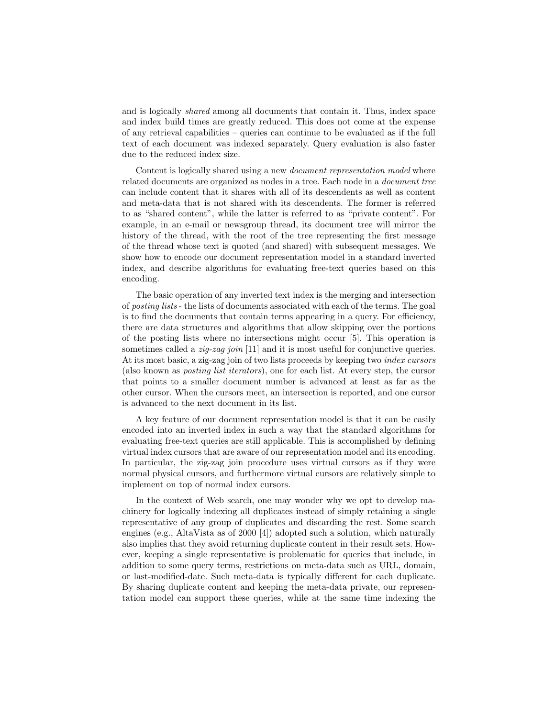and is logically shared among all documents that contain it. Thus, index space and index build times are greatly reduced. This does not come at the expense of any retrieval capabilities – queries can continue to be evaluated as if the full text of each document was indexed separately. Query evaluation is also faster due to the reduced index size.

Content is logically shared using a new *document representation model* where related documents are organized as nodes in a tree. Each node in a document tree can include content that it shares with all of its descendents as well as content and meta-data that is not shared with its descendents. The former is referred to as "shared content", while the latter is referred to as "private content". For example, in an e-mail or newsgroup thread, its document tree will mirror the history of the thread, with the root of the tree representing the first message of the thread whose text is quoted (and shared) with subsequent messages. We show how to encode our document representation model in a standard inverted index, and describe algorithms for evaluating free-text queries based on this encoding.

The basic operation of any inverted text index is the merging and intersection of posting lists - the lists of documents associated with each of the terms. The goal is to find the documents that contain terms appearing in a query. For efficiency, there are data structures and algorithms that allow skipping over the portions of the posting lists where no intersections might occur [5]. This operation is sometimes called a *zig-zag join* [11] and it is most useful for conjunctive queries. At its most basic, a zig-zag join of two lists proceeds by keeping two index cursors (also known as posting list iterators), one for each list. At every step, the cursor that points to a smaller document number is advanced at least as far as the other cursor. When the cursors meet, an intersection is reported, and one cursor is advanced to the next document in its list.

A key feature of our document representation model is that it can be easily encoded into an inverted index in such a way that the standard algorithms for evaluating free-text queries are still applicable. This is accomplished by defining virtual index cursors that are aware of our representation model and its encoding. In particular, the zig-zag join procedure uses virtual cursors as if they were normal physical cursors, and furthermore virtual cursors are relatively simple to implement on top of normal index cursors.

In the context of Web search, one may wonder why we opt to develop machinery for logically indexing all duplicates instead of simply retaining a single representative of any group of duplicates and discarding the rest. Some search engines (e.g., AltaVista as of 2000 [4]) adopted such a solution, which naturally also implies that they avoid returning duplicate content in their result sets. However, keeping a single representative is problematic for queries that include, in addition to some query terms, restrictions on meta-data such as URL, domain, or last-modified-date. Such meta-data is typically different for each duplicate. By sharing duplicate content and keeping the meta-data private, our representation model can support these queries, while at the same time indexing the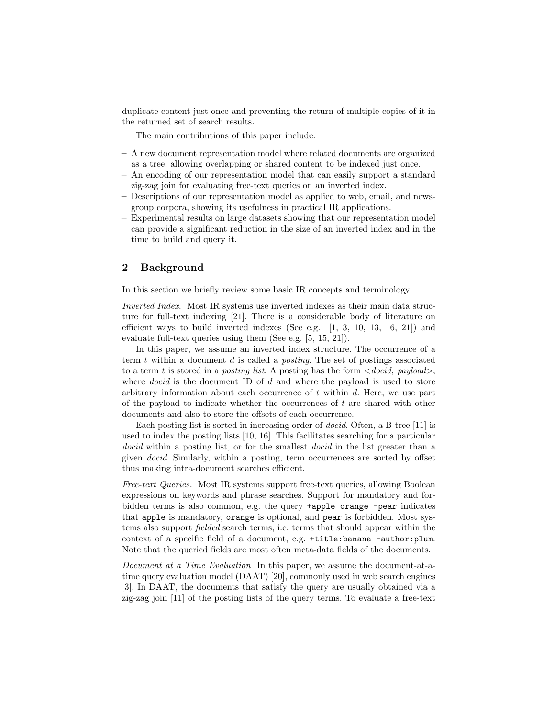duplicate content just once and preventing the return of multiple copies of it in the returned set of search results.

The main contributions of this paper include:

- A new document representation model where related documents are organized as a tree, allowing overlapping or shared content to be indexed just once.
- An encoding of our representation model that can easily support a standard zig-zag join for evaluating free-text queries on an inverted index.
- Descriptions of our representation model as applied to web, email, and newsgroup corpora, showing its usefulness in practical IR applications.
- Experimental results on large datasets showing that our representation model can provide a significant reduction in the size of an inverted index and in the time to build and query it.

## 2 Background

In this section we briefly review some basic IR concepts and terminology.

Inverted Index. Most IR systems use inverted indexes as their main data structure for full-text indexing [21]. There is a considerable body of literature on efficient ways to build inverted indexes (See e.g.  $[1, 3, 10, 13, 16, 21]$ ) and evaluate full-text queries using them (See e.g. [5, 15, 21]).

In this paper, we assume an inverted index structure. The occurrence of a term t within a document  $d$  is called a *posting*. The set of postings associated to a term t is stored in a posting list. A posting has the form  $\langle \text{docid}, \text{payload} \rangle$ , where *docid* is the document ID of  $d$  and where the payload is used to store arbitrary information about each occurrence of  $t$  within  $d$ . Here, we use part of the payload to indicate whether the occurrences of t are shared with other documents and also to store the offsets of each occurrence.

Each posting list is sorted in increasing order of docid. Often, a B-tree [11] is used to index the posting lists [10, 16]. This facilitates searching for a particular docid within a posting list, or for the smallest *docid* in the list greater than a given docid. Similarly, within a posting, term occurrences are sorted by offset thus making intra-document searches efficient.

Free-text Queries. Most IR systems support free-text queries, allowing Boolean expressions on keywords and phrase searches. Support for mandatory and forbidden terms is also common, e.g. the query +apple orange -pear indicates that apple is mandatory, orange is optional, and pear is forbidden. Most systems also support fielded search terms, i.e. terms that should appear within the context of a specific field of a document, e.g. +title:banana -author:plum. Note that the queried fields are most often meta-data fields of the documents.

Document at a Time Evaluation In this paper, we assume the document-at-atime query evaluation model (DAAT) [20], commonly used in web search engines [3]. In DAAT, the documents that satisfy the query are usually obtained via a zig-zag join [11] of the posting lists of the query terms. To evaluate a free-text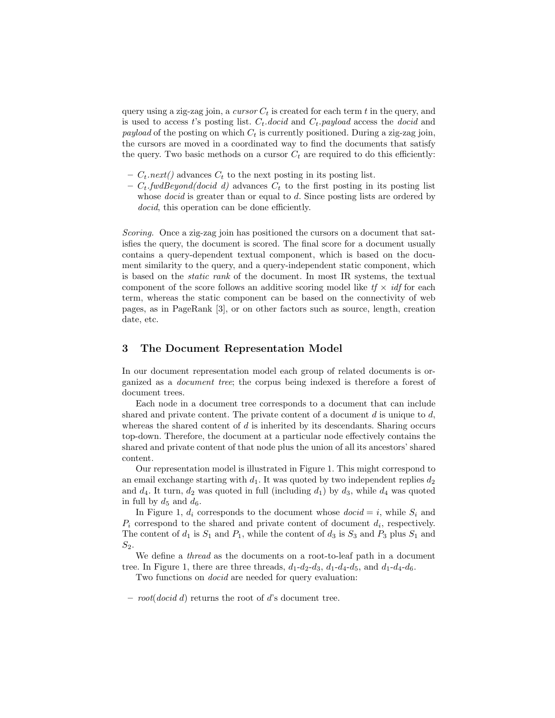query using a zig-zag join, a *cursor*  $C_t$  is created for each term t in the query, and is used to access t's posting list.  $C_t$  docid and  $C_t$  payload access the docid and *payload* of the posting on which  $C_t$  is currently positioned. During a zig-zag join, the cursors are moved in a coordinated way to find the documents that satisfy the query. Two basic methods on a cursor  $C_t$  are required to do this efficiently:

- $C_t.next()$  advances  $C_t$  to the next posting in its posting list.
- $C_t$ .fwdBeyond(docid d) advances  $C_t$  to the first posting in its posting list whose *docid* is greater than or equal to  $d$ . Since posting lists are ordered by docid, this operation can be done efficiently.

Scoring. Once a zig-zag join has positioned the cursors on a document that satisfies the query, the document is scored. The final score for a document usually contains a query-dependent textual component, which is based on the document similarity to the query, and a query-independent static component, which is based on the static rank of the document. In most IR systems, the textual component of the score follows an additive scoring model like  $tf \times \textit{id}$  for each term, whereas the static component can be based on the connectivity of web pages, as in PageRank [3], or on other factors such as source, length, creation date, etc.

## 3 The Document Representation Model

In our document representation model each group of related documents is organized as a document tree; the corpus being indexed is therefore a forest of document trees.

Each node in a document tree corresponds to a document that can include shared and private content. The private content of a document  $d$  is unique to  $d$ , whereas the shared content of  $d$  is inherited by its descendants. Sharing occurs top-down. Therefore, the document at a particular node effectively contains the shared and private content of that node plus the union of all its ancestors' shared content.

Our representation model is illustrated in Figure 1. This might correspond to an email exchange starting with  $d_1$ . It was quoted by two independent replies  $d_2$ and  $d_4$ . It turn,  $d_2$  was quoted in full (including  $d_1$ ) by  $d_3$ , while  $d_4$  was quoted in full by  $d_5$  and  $d_6$ .

In Figure 1,  $d_i$  corresponds to the document whose  $doci = i$ , while  $S_i$  and  $P_i$  correspond to the shared and private content of document  $d_i$ , respectively. The content of  $d_1$  is  $S_1$  and  $P_1$ , while the content of  $d_3$  is  $S_3$  and  $P_3$  plus  $S_1$  and  $S_2$ .

We define a thread as the documents on a root-to-leaf path in a document tree. In Figure 1, there are three threads,  $d_1-d_2-d_3$ ,  $d_1-d_4-d_5$ , and  $d_1-d_4-d_6$ .

Two functions on docid are needed for query evaluation:

– root(docid d) returns the root of d's document tree.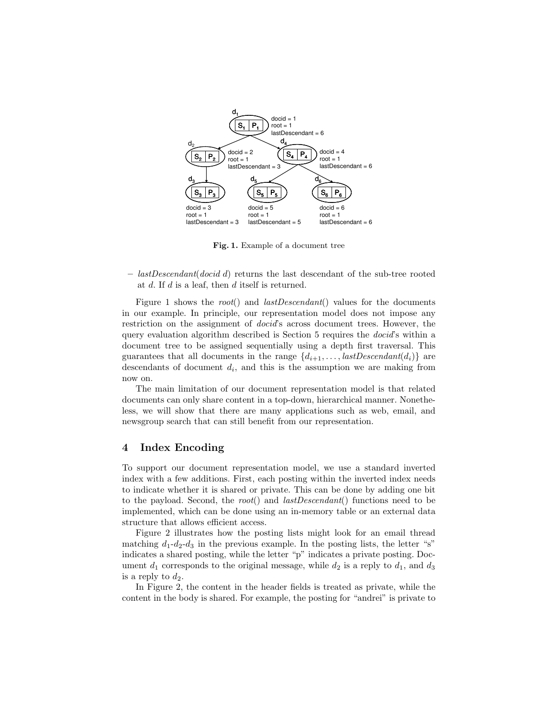

Fig. 1. Example of a document tree

– lastDescendant(docid d) returns the last descendant of the sub-tree rooted at d. If d is a leaf, then d itself is returned.

Figure 1 shows the root() and lastDescendant() values for the documents in our example. In principle, our representation model does not impose any restriction on the assignment of *docid*'s across document trees. However, the query evaluation algorithm described is Section 5 requires the docid's within a document tree to be assigned sequentially using a depth first traversal. This guarantees that all documents in the range  $\{d_{i+1}, \ldots, \text{lastDescendant}(d_i)\}\$ are descendants of document  $d_i$ , and this is the assumption we are making from now on.

The main limitation of our document representation model is that related documents can only share content in a top-down, hierarchical manner. Nonetheless, we will show that there are many applications such as web, email, and newsgroup search that can still benefit from our representation.

# 4 Index Encoding

To support our document representation model, we use a standard inverted index with a few additions. First, each posting within the inverted index needs to indicate whether it is shared or private. This can be done by adding one bit to the payload. Second, the root() and lastDescendant() functions need to be implemented, which can be done using an in-memory table or an external data structure that allows efficient access.

Figure 2 illustrates how the posting lists might look for an email thread matching  $d_1-d_2-d_3$  in the previous example. In the posting lists, the letter "s" indicates a shared posting, while the letter "p" indicates a private posting. Document  $d_1$  corresponds to the original message, while  $d_2$  is a reply to  $d_1$ , and  $d_3$ is a reply to  $d_2$ .

In Figure 2, the content in the header fields is treated as private, while the content in the body is shared. For example, the posting for "andrei" is private to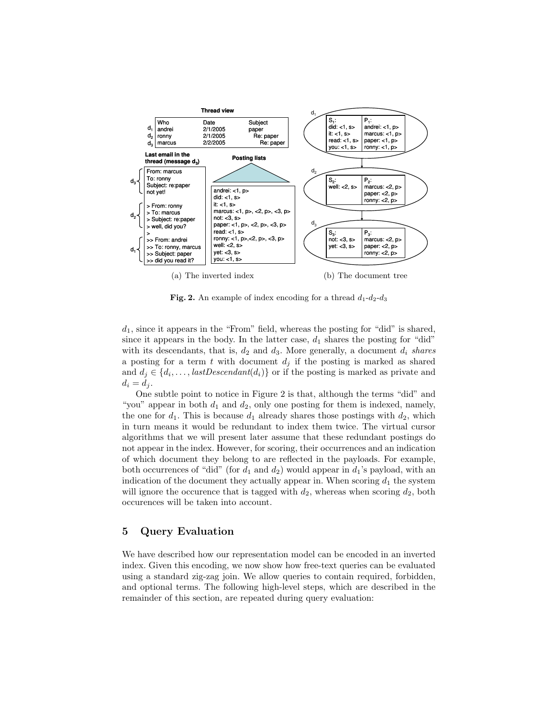

Fig. 2. An example of index encoding for a thread  $d_1-d_2-d_3$ 

 $d_1$ , since it appears in the "From" field, whereas the posting for "did" is shared, since it appears in the body. In the latter case,  $d_1$  shares the posting for "did" with its descendants, that is,  $d_2$  and  $d_3$ . More generally, a document  $d_i$  shares a posting for a term t with document  $d_i$  if the posting is marked as shared and  $d_j \in \{d_i, \ldots, \text{lastDescendant}(d_i)\}\)$  or if the posting is marked as private and  $d_i = d_j$ .

One subtle point to notice in Figure 2 is that, although the terms "did" and "you" appear in both  $d_1$  and  $d_2$ , only one posting for them is indexed, namely, the one for  $d_1$ . This is because  $d_1$  already shares those postings with  $d_2$ , which in turn means it would be redundant to index them twice. The virtual cursor algorithms that we will present later assume that these redundant postings do not appear in the index. However, for scoring, their occurrences and an indication of which document they belong to are reflected in the payloads. For example, both occurrences of "did" (for  $d_1$  and  $d_2$ ) would appear in  $d_1$ 's payload, with an indication of the document they actually appear in. When scoring  $d_1$  the system will ignore the occurence that is tagged with  $d_2$ , whereas when scoring  $d_2$ , both occurences will be taken into account.

# 5 Query Evaluation

We have described how our representation model can be encoded in an inverted index. Given this encoding, we now show how free-text queries can be evaluated using a standard zig-zag join. We allow queries to contain required, forbidden, and optional terms. The following high-level steps, which are described in the remainder of this section, are repeated during query evaluation: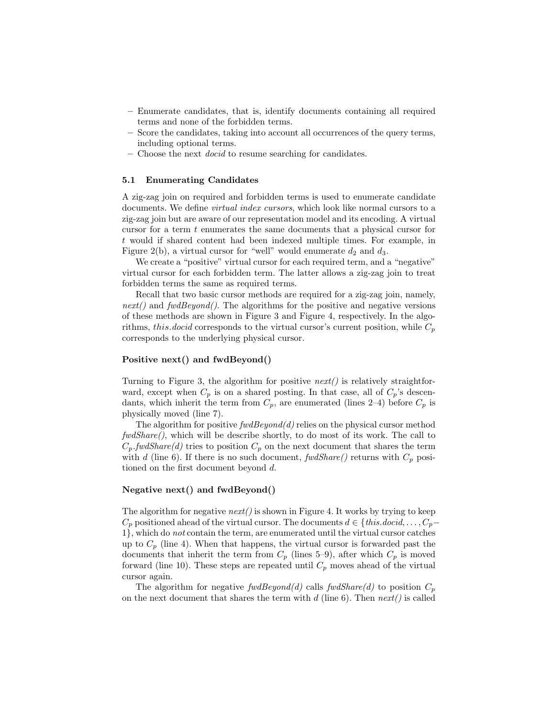- Enumerate candidates, that is, identify documents containing all required terms and none of the forbidden terms.
- Score the candidates, taking into account all occurrences of the query terms, including optional terms.
- Choose the next docid to resume searching for candidates.

#### 5.1 Enumerating Candidates

A zig-zag join on required and forbidden terms is used to enumerate candidate documents. We define *virtual index cursors*, which look like normal cursors to a zig-zag join but are aware of our representation model and its encoding. A virtual cursor for a term t enumerates the same documents that a physical cursor for t would if shared content had been indexed multiple times. For example, in Figure 2(b), a virtual cursor for "well" would enumerate  $d_2$  and  $d_3$ .

We create a "positive" virtual cursor for each required term, and a "negative" virtual cursor for each forbidden term. The latter allows a zig-zag join to treat forbidden terms the same as required terms.

Recall that two basic cursor methods are required for a zig-zag join, namely,  $next()$  and  $fwdBeyond()$ . The algorithms for the positive and negative versions of these methods are shown in Figure 3 and Figure 4, respectively. In the algorithms, this.docid corresponds to the virtual cursor's current position, while  $C_p$ corresponds to the underlying physical cursor.

#### Positive next() and fwdBeyond()

Turning to Figure 3, the algorithm for positive  $next()$  is relatively straightforward, except when  $C_p$  is on a shared posting. In that case, all of  $C_p$ 's descendants, which inherit the term from  $C_p$ , are enumerated (lines 2–4) before  $C_p$  is physically moved (line 7).

The algorithm for positive  $fwdBeyond(d)$  relies on the physical cursor method fwdShare(), which will be describe shortly, to do most of its work. The call to  $C_p$  fwdShare(d) tries to position  $C_p$  on the next document that shares the term with d (line 6). If there is no such document,  $fwdShare()$  returns with  $C_p$  positioned on the first document beyond d.

#### Negative next() and fwdBeyond()

The algorithm for negative  $next()$  is shown in Figure 4. It works by trying to keep  $C_p$  positioned ahead of the virtual cursor. The documents  $d \in \{this.docid, \ldots, C_p-\}$ 1}, which do not contain the term, are enumerated until the virtual cursor catches up to  $C_p$  (line 4). When that happens, the virtual cursor is forwarded past the documents that inherit the term from  $C_p$  (lines 5–9), after which  $C_p$  is moved forward (line 10). These steps are repeated until  $C_p$  moves ahead of the virtual cursor again.

The algorithm for negative  $fwdBeyond(d)$  calls  $fwdShare(d)$  to position  $C_p$ on the next document that shares the term with  $d$  (line 6). Then  $next()$  is called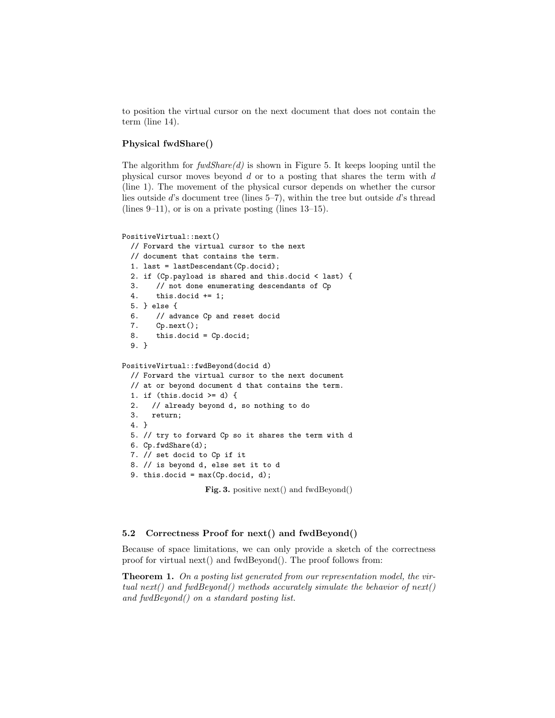to position the virtual cursor on the next document that does not contain the term (line 14).

## Physical fwdShare()

The algorithm for  $fwdShare(d)$  is shown in Figure 5. It keeps looping until the physical cursor moves beyond  $d$  or to a posting that shares the term with  $d$ (line 1). The movement of the physical cursor depends on whether the cursor lies outside  $d$ 's document tree (lines 5–7), within the tree but outside  $d$ 's thread (lines 9–11), or is on a private posting (lines 13–15).

```
PositiveVirtual::next()
```

```
// Forward the virtual cursor to the next
// document that contains the term.
1. last = lastDescendant(Cp.docid);
2. if (Cp.payload is shared and this.docid < last) {
3. // not done enumerating descendants of Cp
4. this.docid += 1;
5. } else {
6. // advance Cp and reset docid
7. Cp.next();
8. this.docid = Cp.docid;
9. }
```
PositiveVirtual::fwdBeyond(docid d)

```
// Forward the virtual cursor to the next document
// at or beyond document d that contains the term.
1. if (this.docid >= d) {
2. // already beyond d, so nothing to do
3. return;
4. }
5. // try to forward Cp so it shares the term with d
6. Cp.fwdShare(d);
7. // set docid to Cp if it
8. // is beyond d, else set it to d
9. this.docid = max(Cp.docid, d);
                 Fig. 3. positive next() and fwdBeyond()
```
## 5.2 Correctness Proof for next() and fwdBeyond()

Because of space limitations, we can only provide a sketch of the correctness proof for virtual next() and fwdBeyond(). The proof follows from:

Theorem 1. On a posting list generated from our representation model, the virtual next() and fwdBeyond() methods accurately simulate the behavior of next() and fwdBeyond() on a standard posting list.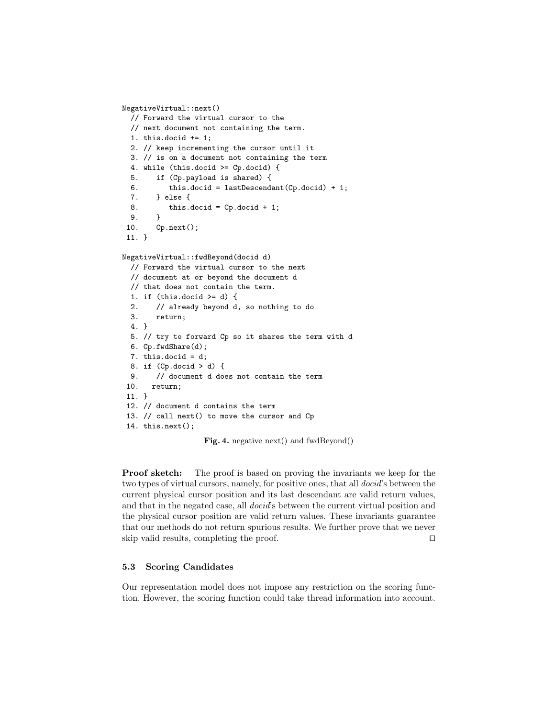```
NegativeVirtual::next()
 // Forward the virtual cursor to the
 // next document not containing the term.
 1. this.docid += 1;
 2. // keep incrementing the cursor until it
 3. // is on a document not containing the term
 4. while (this.docid >= Cp.docid) {
 5. if (Cp.payload is shared) {
 6. this.docid = lastDescendant(Cp.docid) + 1;
 7. } else {
 8. this.docid = Cp.docid + 1;
 9. }
10. Cp.next();
11. }
NegativeVirtual::fwdBeyond(docid d)
 // Forward the virtual cursor to the next
 // document at or beyond the document d
 // that does not contain the term.
 1. if (this.docid >= d) {
 2. // already beyond d, so nothing to do
 3. return;
 4. }
 5. // try to forward Cp so it shares the term with d
 6. Cp.fwdShare(d);
 7. this.docid = d;
 8. if (Cp.docid > d) {
 9. // document d does not contain the term
10. return;
11. }
12. // document d contains the term
13. // call next() to move the cursor and Cp
14. this.next();
```
Fig. 4. negative next() and fwdBeyond()

**Proof sketch:** The proof is based on proving the invariants we keep for the two types of virtual cursors, namely, for positive ones, that all *docid*'s between the current physical cursor position and its last descendant are valid return values, and that in the negated case, all docid's between the current virtual position and the physical cursor position are valid return values. These invariants guarantee that our methods do not return spurious results. We further prove that we never skip valid results, completing the proof.  $\Box$ 

## 5.3 Scoring Candidates

Our representation model does not impose any restriction on the scoring function. However, the scoring function could take thread information into account.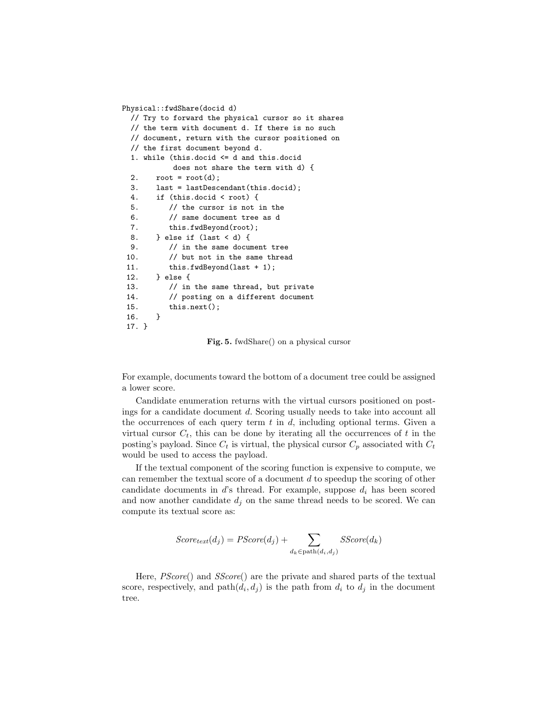```
Physical::fwdShare(docid d)
 // Try to forward the physical cursor so it shares
 // the term with document d. If there is no such
 // document, return with the cursor positioned on
 // the first document beyond d.
 1. while (this.docid <= d and this.docid
          does not share the term with d) {
 2. root = root(d):
 3. last = lastDescendant(this.docid);
 4. if (this.docid < root) {
 5. // the cursor is not in the
 6. // same document tree as d
 7. this.fwdBeyond(root);
 8. } else if (last < d) {
 9. // in the same document tree
10. // but not in the same thread
11. this.fwdBeyond(last + 1);
12. } else {
13. // in the same thread, but private
14. // posting on a different document
15. this.next();
16. }
17. }
```
Fig. 5. fwdShare() on a physical cursor

For example, documents toward the bottom of a document tree could be assigned a lower score.

Candidate enumeration returns with the virtual cursors positioned on postings for a candidate document d. Scoring usually needs to take into account all the occurrences of each query term  $t$  in  $d$ , including optional terms. Given a virtual cursor  $C_t$ , this can be done by iterating all the occurrences of t in the posting's payload. Since  $C_t$  is virtual, the physical cursor  $C_p$  associated with  $C_t$ would be used to access the payload.

If the textual component of the scoring function is expensive to compute, we can remember the textual score of a document d to speedup the scoring of other candidate documents in  $d$ 's thread. For example, suppose  $d_i$  has been scored and now another candidate  $d_j$  on the same thread needs to be scored. We can compute its textual score as:

$$
Score_{text}(d_j) = PScore(d_j) + \sum_{d_k \in path(d_i, d_j)} SSCore(d_k)
$$

Here, PScore() and SScore() are the private and shared parts of the textual score, respectively, and  $path(d_i, d_j)$  is the path from  $d_i$  to  $d_j$  in the document tree.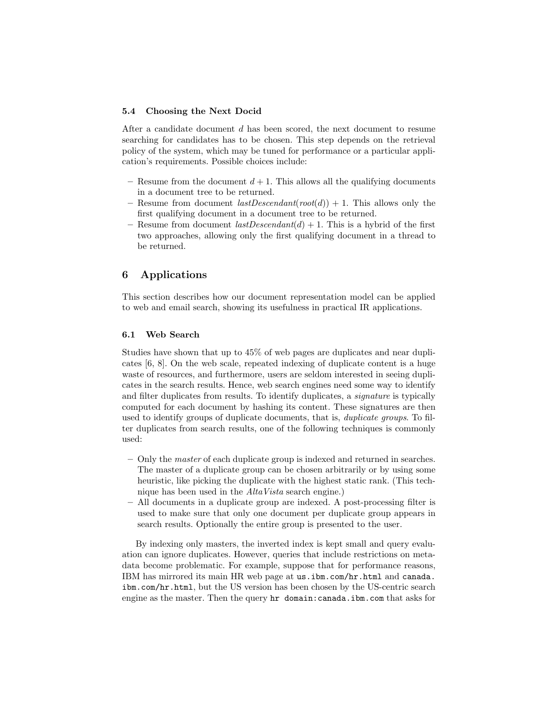#### 5.4 Choosing the Next Docid

After a candidate document d has been scored, the next document to resume searching for candidates has to be chosen. This step depends on the retrieval policy of the system, which may be tuned for performance or a particular application's requirements. Possible choices include:

- Resume from the document  $d+1$ . This allows all the qualifying documents in a document tree to be returned.
- Resume from document *lastDescendant(root(d))* + 1. This allows only the first qualifying document in a document tree to be returned.
- Resume from document  $lastDescendant(d) + 1$ . This is a hybrid of the first two approaches, allowing only the first qualifying document in a thread to be returned.

# 6 Applications

This section describes how our document representation model can be applied to web and email search, showing its usefulness in practical IR applications.

#### 6.1 Web Search

Studies have shown that up to 45% of web pages are duplicates and near duplicates [6, 8]. On the web scale, repeated indexing of duplicate content is a huge waste of resources, and furthermore, users are seldom interested in seeing duplicates in the search results. Hence, web search engines need some way to identify and filter duplicates from results. To identify duplicates, a signature is typically computed for each document by hashing its content. These signatures are then used to identify groups of duplicate documents, that is, *duplicate groups*. To filter duplicates from search results, one of the following techniques is commonly used:

- Only the master of each duplicate group is indexed and returned in searches. The master of a duplicate group can be chosen arbitrarily or by using some heuristic, like picking the duplicate with the highest static rank. (This technique has been used in the AltaVista search engine.)
- All documents in a duplicate group are indexed. A post-processing filter is used to make sure that only one document per duplicate group appears in search results. Optionally the entire group is presented to the user.

By indexing only masters, the inverted index is kept small and query evaluation can ignore duplicates. However, queries that include restrictions on metadata become problematic. For example, suppose that for performance reasons, IBM has mirrored its main HR web page at us.ibm.com/hr.html and canada. ibm.com/hr.html, but the US version has been chosen by the US-centric search engine as the master. Then the query hr domain:canada.ibm.com that asks for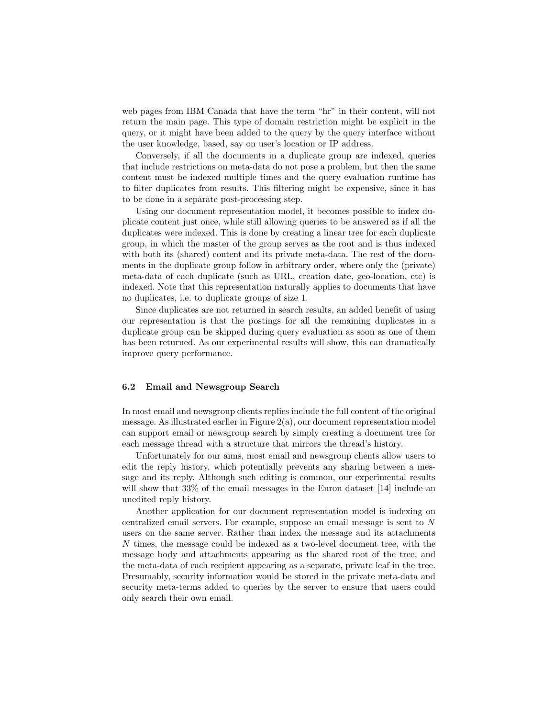web pages from IBM Canada that have the term "hr" in their content, will not return the main page. This type of domain restriction might be explicit in the query, or it might have been added to the query by the query interface without the user knowledge, based, say on user's location or IP address.

Conversely, if all the documents in a duplicate group are indexed, queries that include restrictions on meta-data do not pose a problem, but then the same content must be indexed multiple times and the query evaluation runtime has to filter duplicates from results. This filtering might be expensive, since it has to be done in a separate post-processing step.

Using our document representation model, it becomes possible to index duplicate content just once, while still allowing queries to be answered as if all the duplicates were indexed. This is done by creating a linear tree for each duplicate group, in which the master of the group serves as the root and is thus indexed with both its (shared) content and its private meta-data. The rest of the documents in the duplicate group follow in arbitrary order, where only the (private) meta-data of each duplicate (such as URL, creation date, geo-location, etc) is indexed. Note that this representation naturally applies to documents that have no duplicates, i.e. to duplicate groups of size 1.

Since duplicates are not returned in search results, an added benefit of using our representation is that the postings for all the remaining duplicates in a duplicate group can be skipped during query evaluation as soon as one of them has been returned. As our experimental results will show, this can dramatically improve query performance.

#### 6.2 Email and Newsgroup Search

In most email and newsgroup clients replies include the full content of the original message. As illustrated earlier in Figure 2(a), our document representation model can support email or newsgroup search by simply creating a document tree for each message thread with a structure that mirrors the thread's history.

Unfortunately for our aims, most email and newsgroup clients allow users to edit the reply history, which potentially prevents any sharing between a message and its reply. Although such editing is common, our experimental results will show that 33% of the email messages in the Enron dataset [14] include an unedited reply history.

Another application for our document representation model is indexing on centralized email servers. For example, suppose an email message is sent to N users on the same server. Rather than index the message and its attachments N times, the message could be indexed as a two-level document tree, with the message body and attachments appearing as the shared root of the tree, and the meta-data of each recipient appearing as a separate, private leaf in the tree. Presumably, security information would be stored in the private meta-data and security meta-terms added to queries by the server to ensure that users could only search their own email.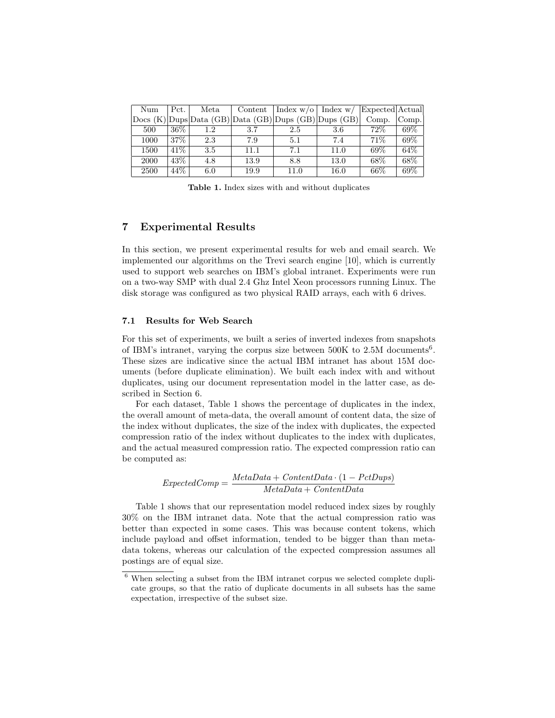| Num  | Pct.   | Meta |      |      | Content   Index w/o   Index w/   Expected   Actual                  |        |        |
|------|--------|------|------|------|---------------------------------------------------------------------|--------|--------|
|      |        |      |      |      | $ Docs (K) $ Dups $ Data (GB) Data (GB) Dups (GB) Dups (GB) $ Comp. |        | Comp.  |
| 500  | $36\%$ | 1.2  | 3.7  | 2.5  | $3.6\,$                                                             | $72\%$ | 69%    |
| 1000 | $37\%$ | 2.3  | 7.9  | 5.1  | 7.4                                                                 | 71\%   | 69%    |
| 1500 | $41\%$ | 3.5  | 11.1 | 7.1  | 11.0                                                                | 69%    | 64\%   |
| 2000 | 43\%   | 4.8  | 13.9 | 8.8  | 13.0                                                                | 68\%   | 68\%   |
| 2500 | $44\%$ | 6.0  | 19.9 | 11.0 | 16.0                                                                | $66\%$ | $69\%$ |

Table 1. Index sizes with and without duplicates

# 7 Experimental Results

In this section, we present experimental results for web and email search. We implemented our algorithms on the Trevi search engine [10], which is currently used to support web searches on IBM's global intranet. Experiments were run on a two-way SMP with dual 2.4 Ghz Intel Xeon processors running Linux. The disk storage was configured as two physical RAID arrays, each with 6 drives.

#### 7.1 Results for Web Search

For this set of experiments, we built a series of inverted indexes from snapshots of IBM's intranet, varying the corpus size between  $500K$  to  $2.5M$  documents<sup>6</sup>. These sizes are indicative since the actual IBM intranet has about 15M documents (before duplicate elimination). We built each index with and without duplicates, using our document representation model in the latter case, as described in Section 6.

For each dataset, Table 1 shows the percentage of duplicates in the index, the overall amount of meta-data, the overall amount of content data, the size of the index without duplicates, the size of the index with duplicates, the expected compression ratio of the index without duplicates to the index with duplicates, and the actual measured compression ratio. The expected compression ratio can be computed as:

> $ExpectedComp = MetaData + ContentData \cdot (1 - PetDups)$ MetaData + ContentData

Table 1 shows that our representation model reduced index sizes by roughly 30% on the IBM intranet data. Note that the actual compression ratio was better than expected in some cases. This was because content tokens, which include payload and offset information, tended to be bigger than than metadata tokens, whereas our calculation of the expected compression assumes all postings are of equal size.

 $^6$  When selecting a subset from the IBM intranet corpus we selected complete duplicate groups, so that the ratio of duplicate documents in all subsets has the same expectation, irrespective of the subset size.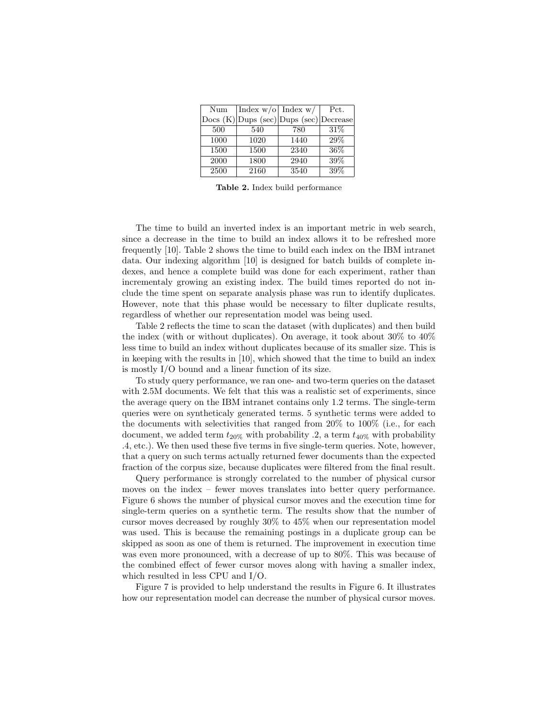| Num  | Index $w/o$ Index $w/b$                     |      | Pct. |
|------|---------------------------------------------|------|------|
|      | $ Docs (K) $ Dups (sec) Dups (sec) Decrease |      |      |
| 500  | 540                                         | 780  | 31\% |
| 1000 | 1020                                        | 1440 | 29\% |
| 1500 | 1500                                        | 2340 | 36%  |
| 2000 | 1800                                        | 2940 | 39%  |
| 2500 | 2160                                        | 3540 | 39%  |

Table 2. Index build performance

The time to build an inverted index is an important metric in web search, since a decrease in the time to build an index allows it to be refreshed more frequently [10]. Table 2 shows the time to build each index on the IBM intranet data. Our indexing algorithm [10] is designed for batch builds of complete indexes, and hence a complete build was done for each experiment, rather than incrementaly growing an existing index. The build times reported do not include the time spent on separate analysis phase was run to identify duplicates. However, note that this phase would be necessary to filter duplicate results, regardless of whether our representation model was being used.

Table 2 reflects the time to scan the dataset (with duplicates) and then build the index (with or without duplicates). On average, it took about 30% to 40% less time to build an index without duplicates because of its smaller size. This is in keeping with the results in [10], which showed that the time to build an index is mostly I/O bound and a linear function of its size.

To study query performance, we ran one- and two-term queries on the dataset with 2.5M documents. We felt that this was a realistic set of experiments, since the average query on the IBM intranet contains only 1.2 terms. The single-term queries were on syntheticaly generated terms. 5 synthetic terms were added to the documents with selectivities that ranged from 20% to 100% (i.e., for each document, we added term  $t_{20\%}$  with probability .2, a term  $t_{40\%}$  with probability .4, etc.). We then used these five terms in five single-term queries. Note, however, that a query on such terms actually returned fewer documents than the expected fraction of the corpus size, because duplicates were filtered from the final result.

Query performance is strongly correlated to the number of physical cursor moves on the index – fewer moves translates into better query performance. Figure 6 shows the number of physical cursor moves and the execution time for single-term queries on a synthetic term. The results show that the number of cursor moves decreased by roughly 30% to 45% when our representation model was used. This is because the remaining postings in a duplicate group can be skipped as soon as one of them is returned. The improvement in execution time was even more pronounced, with a decrease of up to 80%. This was because of the combined effect of fewer cursor moves along with having a smaller index, which resulted in less CPU and I/O.

Figure 7 is provided to help understand the results in Figure 6. It illustrates how our representation model can decrease the number of physical cursor moves.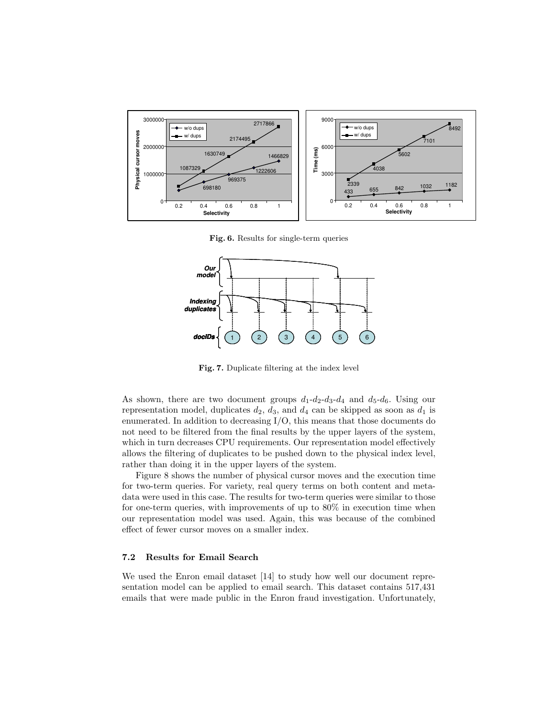

Fig. 6. Results for single-term queries



Fig. 7. Duplicate filtering at the index level

As shown, there are two document groups  $d_1-d_2-d_3-d_4$  and  $d_5-d_6$ . Using our representation model, duplicates  $d_2$ ,  $d_3$ , and  $d_4$  can be skipped as soon as  $d_1$  is enumerated. In addition to decreasing I/O, this means that those documents do not need to be filtered from the final results by the upper layers of the system, which in turn decreases CPU requirements. Our representation model effectively allows the filtering of duplicates to be pushed down to the physical index level, rather than doing it in the upper layers of the system.

Figure 8 shows the number of physical cursor moves and the execution time for two-term queries. For variety, real query terms on both content and metadata were used in this case. The results for two-term queries were similar to those for one-term queries, with improvements of up to 80% in execution time when our representation model was used. Again, this was because of the combined effect of fewer cursor moves on a smaller index.

#### 7.2 Results for Email Search

We used the Enron email dataset [14] to study how well our document representation model can be applied to email search. This dataset contains 517,431 emails that were made public in the Enron fraud investigation. Unfortunately,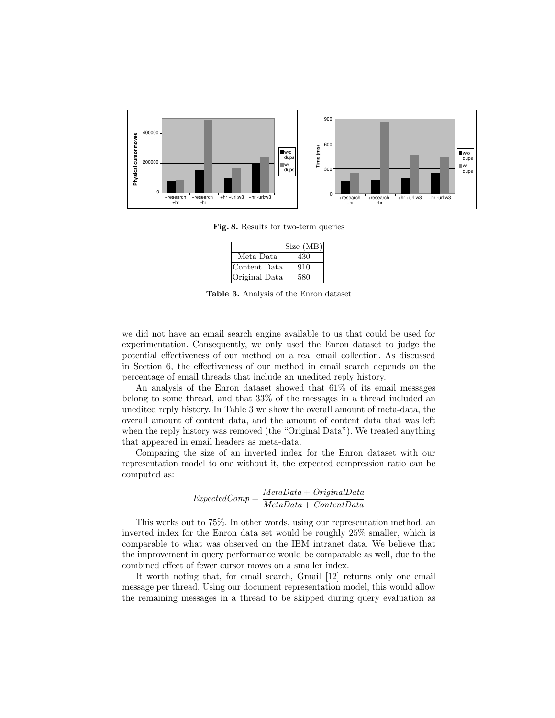

Fig. 8. Results for two-term queries

|               | $\left  \text{Size } (\text{MB}) \right $ |
|---------------|-------------------------------------------|
| Meta Data     | 430                                       |
| Content Data  | 910                                       |
| Original Data | 580                                       |

Table 3. Analysis of the Enron dataset

we did not have an email search engine available to us that could be used for experimentation. Consequently, we only used the Enron dataset to judge the potential effectiveness of our method on a real email collection. As discussed in Section 6, the effectiveness of our method in email search depends on the percentage of email threads that include an unedited reply history.

An analysis of the Enron dataset showed that 61% of its email messages belong to some thread, and that 33% of the messages in a thread included an unedited reply history. In Table 3 we show the overall amount of meta-data, the overall amount of content data, and the amount of content data that was left when the reply history was removed (the "Original Data"). We treated anything that appeared in email headers as meta-data.

Comparing the size of an inverted index for the Enron dataset with our representation model to one without it, the expected compression ratio can be computed as:

# $ExpectedComp = MetaData + OriginalData$ MetaData + ContentData

This works out to 75%. In other words, using our representation method, an inverted index for the Enron data set would be roughly 25% smaller, which is comparable to what was observed on the IBM intranet data. We believe that the improvement in query performance would be comparable as well, due to the combined effect of fewer cursor moves on a smaller index.

It worth noting that, for email search, Gmail [12] returns only one email message per thread. Using our document representation model, this would allow the remaining messages in a thread to be skipped during query evaluation as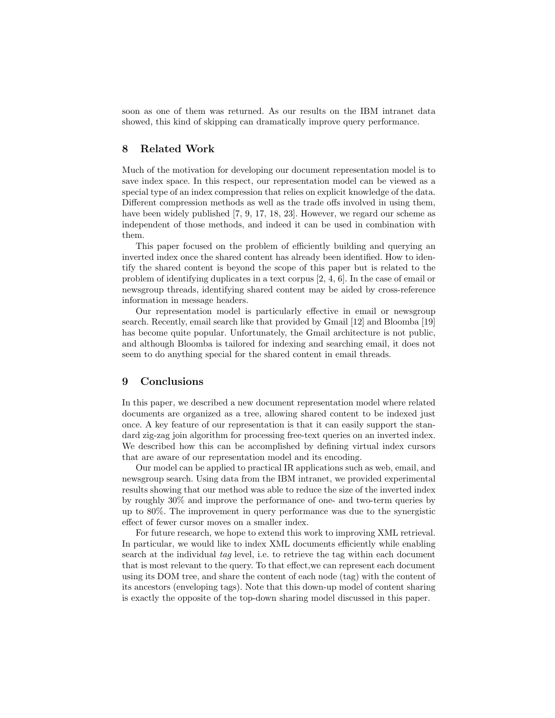soon as one of them was returned. As our results on the IBM intranet data showed, this kind of skipping can dramatically improve query performance.

# 8 Related Work

Much of the motivation for developing our document representation model is to save index space. In this respect, our representation model can be viewed as a special type of an index compression that relies on explicit knowledge of the data. Different compression methods as well as the trade offs involved in using them, have been widely published [7, 9, 17, 18, 23]. However, we regard our scheme as independent of those methods, and indeed it can be used in combination with them.

This paper focused on the problem of efficiently building and querying an inverted index once the shared content has already been identified. How to identify the shared content is beyond the scope of this paper but is related to the problem of identifying duplicates in a text corpus [2, 4, 6]. In the case of email or newsgroup threads, identifying shared content may be aided by cross-reference information in message headers.

Our representation model is particularly effective in email or newsgroup search. Recently, email search like that provided by Gmail [12] and Bloomba [19] has become quite popular. Unfortunately, the Gmail architecture is not public, and although Bloomba is tailored for indexing and searching email, it does not seem to do anything special for the shared content in email threads.

## 9 Conclusions

In this paper, we described a new document representation model where related documents are organized as a tree, allowing shared content to be indexed just once. A key feature of our representation is that it can easily support the standard zig-zag join algorithm for processing free-text queries on an inverted index. We described how this can be accomplished by defining virtual index cursors that are aware of our representation model and its encoding.

Our model can be applied to practical IR applications such as web, email, and newsgroup search. Using data from the IBM intranet, we provided experimental results showing that our method was able to reduce the size of the inverted index by roughly 30% and improve the performance of one- and two-term queries by up to 80%. The improvement in query performance was due to the synergistic effect of fewer cursor moves on a smaller index.

For future research, we hope to extend this work to improving XML retrieval. In particular, we would like to index XML documents efficiently while enabling search at the individual tag level, i.e. to retrieve the tag within each document that is most relevant to the query. To that effect,we can represent each document using its DOM tree, and share the content of each node (tag) with the content of its ancestors (enveloping tags). Note that this down-up model of content sharing is exactly the opposite of the top-down sharing model discussed in this paper.